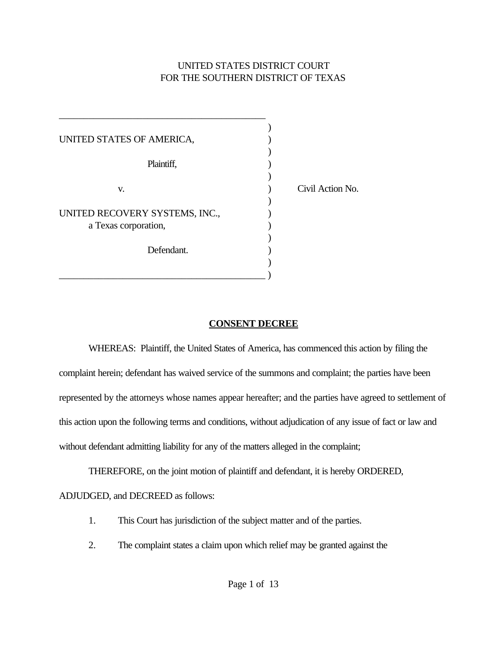# UNITED STATES DISTRICT COURT FOR THE SOUTHERN DISTRICT OF TEXAS

| UNITED STATES OF AMERICA,      |                  |
|--------------------------------|------------------|
| Plaintiff,                     |                  |
| V.                             | Civil Action No. |
| UNITED RECOVERY SYSTEMS, INC., |                  |
| a Texas corporation,           |                  |
| Defendant.                     |                  |
|                                |                  |

\_\_\_\_\_\_\_\_\_\_\_\_\_\_\_\_\_\_\_\_\_\_\_\_\_\_\_\_\_\_\_\_\_\_\_\_\_\_\_\_\_\_

### **CONSENT DECREE**

WHEREAS: Plaintiff, the United States of America, has commenced this action by filing the complaint herein; defendant has waived service of the summons and complaint; the parties have been represented by the attorneys whose names appear hereafter; and the parties have agreed to settlement of this action upon the following terms and conditions, without adjudication of any issue of fact or law and without defendant admitting liability for any of the matters alleged in the complaint;

THEREFORE, on the joint motion of plaintiff and defendant, it is hereby ORDERED,

### ADJUDGED, and DECREED as follows:

- 1. This Court has jurisdiction of the subject matter and of the parties.
- 2. The complaint states a claim upon which relief may be granted against the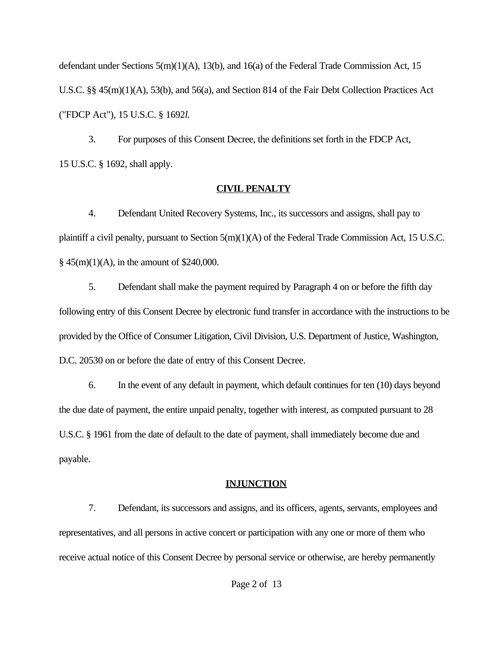defendant under Sections 5(m)(1)(A), 13(b), and 16(a) of the Federal Trade Commission Act, 15 U.S.C. §§ 45(m)(1)(A), 53(b), and 56(a), and Section 814 of the Fair Debt Collection Practices Act ("FDCP Act"), 15 U.S.C. § 1692*l*.

3. For purposes of this Consent Decree, the definitions set forth in the FDCP Act, 15 U.S.C. § 1692, shall apply.

#### **CIVIL PENALTY**

4. Defendant United Recovery Systems, Inc., its successors and assigns, shall pay to plaintiff a civil penalty, pursuant to Section 5(m)(1)(A) of the Federal Trade Commission Act, 15 U.S.C.  $§$  45(m)(1)(A), in the amount of \$240,000.

5. Defendant shall make the payment required by Paragraph 4 on or before the fifth day following entry of this Consent Decree by electronic fund transfer in accordance with the instructions to be provided by the Office of Consumer Litigation, Civil Division, U.S. Department of Justice, Washington, D.C. 20530 on or before the date of entry of this Consent Decree.

6. In the event of any default in payment, which default continues for ten (10) days beyond the due date of payment, the entire unpaid penalty, together with interest, as computed pursuant to 28 U.S.C. § 1961 from the date of default to the date of payment, shall immediately become due and payable.

### **INJUNCTION**

7. Defendant, its successors and assigns, and its officers, agents, servants, employees and representatives, and all persons in active concert or participation with any one or more of them who receive actual notice of this Consent Decree by personal service or otherwise, are hereby permanently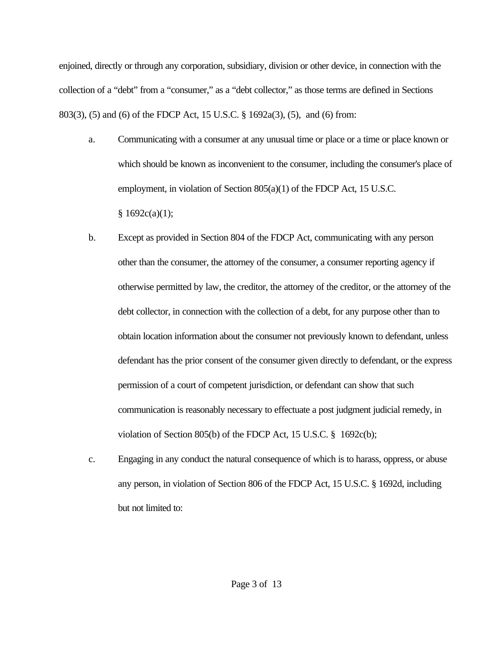enjoined, directly or through any corporation, subsidiary, division or other device, in connection with the collection of a "debt" from a "consumer," as a "debt collector," as those terms are defined in Sections 803(3), (5) and (6) of the FDCP Act, 15 U.S.C. § 1692a(3), (5), and (6) from:

- a. Communicating with a consumer at any unusual time or place or a time or place known or which should be known as inconvenient to the consumer, including the consumer's place of employment, in violation of Section 805(a)(1) of the FDCP Act, 15 U.S.C.  $§ 1692c(a)(1);$
- b. Except as provided in Section 804 of the FDCP Act, communicating with any person other than the consumer, the attorney of the consumer, a consumer reporting agency if otherwise permitted by law, the creditor, the attorney of the creditor, or the attorney of the debt collector, in connection with the collection of a debt, for any purpose other than to obtain location information about the consumer not previously known to defendant, unless defendant has the prior consent of the consumer given directly to defendant, or the express permission of a court of competent jurisdiction, or defendant can show that such communication is reasonably necessary to effectuate a post judgment judicial remedy, in violation of Section 805(b) of the FDCP Act, 15 U.S.C. § 1692c(b);
- c. Engaging in any conduct the natural consequence of which is to harass, oppress, or abuse any person, in violation of Section 806 of the FDCP Act, 15 U.S.C. § 1692d, including but not limited to: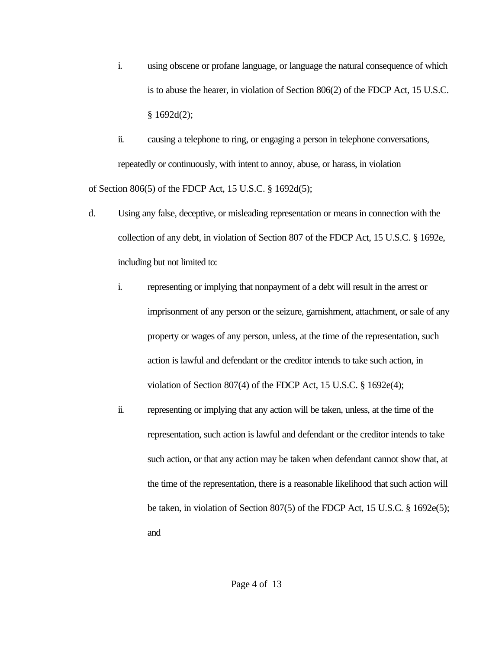- i. using obscene or profane language, or language the natural consequence of which is to abuse the hearer, in violation of Section 806(2) of the FDCP Act, 15 U.S.C.  $§$  1692d(2);
- ii. causing a telephone to ring, or engaging a person in telephone conversations, repeatedly or continuously, with intent to annoy, abuse, or harass, in violation of Section 806(5) of the FDCP Act, 15 U.S.C. § 1692d(5);
- d. Using any false, deceptive, or misleading representation or means in connection with the collection of any debt, in violation of Section 807 of the FDCP Act, 15 U.S.C. § 1692e, including but not limited to:
	- i. representing or implying that nonpayment of a debt will result in the arrest or imprisonment of any person or the seizure, garnishment, attachment, or sale of any property or wages of any person, unless, at the time of the representation, such action is lawful and defendant or the creditor intends to take such action, in violation of Section 807(4) of the FDCP Act, 15 U.S.C. § 1692e(4);
	- ii. representing or implying that any action will be taken, unless, at the time of the representation, such action is lawful and defendant or the creditor intends to take such action, or that any action may be taken when defendant cannot show that, at the time of the representation, there is a reasonable likelihood that such action will be taken, in violation of Section 807(5) of the FDCP Act, 15 U.S.C. § 1692e(5); and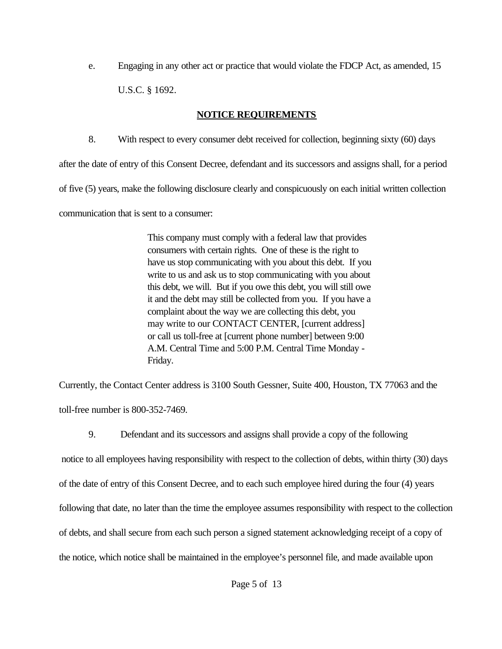e. Engaging in any other act or practice that would violate the FDCP Act, as amended, 15 U.S.C. § 1692.

# **NOTICE REQUIREMENTS**

8. With respect to every consumer debt received for collection, beginning sixty (60) days

after the date of entry of this Consent Decree, defendant and its successors and assigns shall, for a period of five (5) years, make the following disclosure clearly and conspicuously on each initial written collection communication that is sent to a consumer:

> This company must comply with a federal law that provides consumers with certain rights. One of these is the right to have us stop communicating with you about this debt. If you write to us and ask us to stop communicating with you about this debt, we will. But if you owe this debt, you will still owe it and the debt may still be collected from you. If you have a complaint about the way we are collecting this debt, you may write to our CONTACT CENTER, [current address] or call us toll-free at [current phone number] between 9:00 A.M. Central Time and 5:00 P.M. Central Time Monday - Friday.

Currently, the Contact Center address is 3100 South Gessner, Suite 400, Houston, TX 77063 and the toll-free number is 800-352-7469.

9. Defendant and its successors and assigns shall provide a copy of the following

 notice to all employees having responsibility with respect to the collection of debts, within thirty (30) days of the date of entry of this Consent Decree, and to each such employee hired during the four (4) years following that date, no later than the time the employee assumes responsibility with respect to the collection of debts, and shall secure from each such person a signed statement acknowledging receipt of a copy of the notice, which notice shall be maintained in the employee's personnel file, and made available upon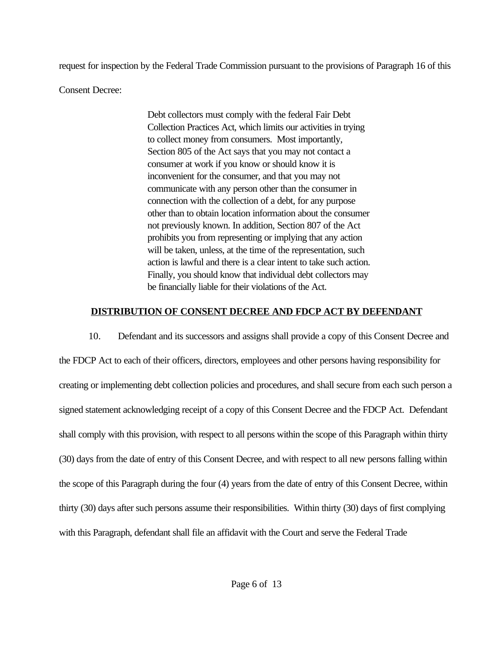request for inspection by the Federal Trade Commission pursuant to the provisions of Paragraph 16 of this

Consent Decree:

Debt collectors must comply with the federal Fair Debt Collection Practices Act, which limits our activities in trying to collect money from consumers. Most importantly, Section 805 of the Act says that you may not contact a consumer at work if you know or should know it is inconvenient for the consumer, and that you may not communicate with any person other than the consumer in connection with the collection of a debt, for any purpose other than to obtain location information about the consumer not previously known. In addition, Section 807 of the Act prohibits you from representing or implying that any action will be taken, unless, at the time of the representation, such action is lawful and there is a clear intent to take such action. Finally, you should know that individual debt collectors may be financially liable for their violations of the Act.

# **DISTRIBUTION OF CONSENT DECREE AND FDCP ACT BY DEFENDANT**

10. Defendant and its successors and assigns shall provide a copy of this Consent Decree and the FDCP Act to each of their officers, directors, employees and other persons having responsibility for creating or implementing debt collection policies and procedures, and shall secure from each such person a signed statement acknowledging receipt of a copy of this Consent Decree and the FDCP Act. Defendant shall comply with this provision, with respect to all persons within the scope of this Paragraph within thirty (30) days from the date of entry of this Consent Decree, and with respect to all new persons falling within the scope of this Paragraph during the four (4) years from the date of entry of this Consent Decree, within thirty (30) days after such persons assume their responsibilities. Within thirty (30) days of first complying with this Paragraph, defendant shall file an affidavit with the Court and serve the Federal Trade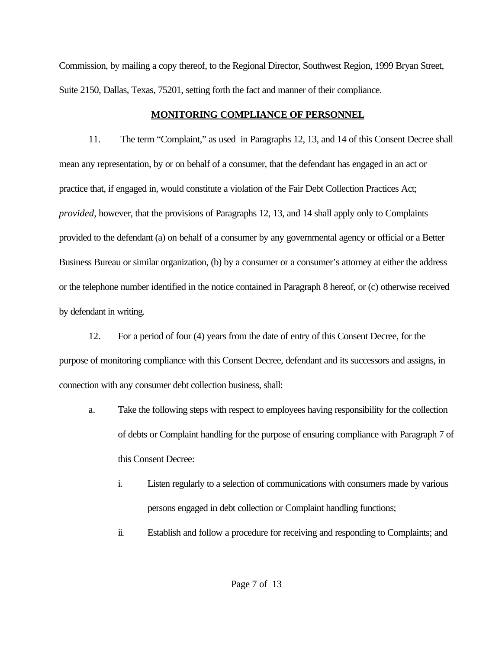Commission, by mailing a copy thereof, to the Regional Director, Southwest Region, 1999 Bryan Street, Suite 2150, Dallas, Texas, 75201, setting forth the fact and manner of their compliance.

## **MONITORING COMPLIANCE OF PERSONNEL**

11. The term "Complaint," as used in Paragraphs 12, 13, and 14 of this Consent Decree shall mean any representation, by or on behalf of a consumer, that the defendant has engaged in an act or practice that, if engaged in, would constitute a violation of the Fair Debt Collection Practices Act; *provided*, however, that the provisions of Paragraphs 12, 13, and 14 shall apply only to Complaints provided to the defendant (a) on behalf of a consumer by any governmental agency or official or a Better Business Bureau or similar organization, (b) by a consumer or a consumer's attorney at either the address or the telephone number identified in the notice contained in Paragraph 8 hereof, or (c) otherwise received by defendant in writing.

12. For a period of four (4) years from the date of entry of this Consent Decree, for the purpose of monitoring compliance with this Consent Decree, defendant and its successors and assigns, in connection with any consumer debt collection business, shall:

- a. Take the following steps with respect to employees having responsibility for the collection of debts or Complaint handling for the purpose of ensuring compliance with Paragraph 7 of this Consent Decree:
	- i. Listen regularly to a selection of communications with consumers made by various persons engaged in debt collection or Complaint handling functions;
	- ii. Establish and follow a procedure for receiving and responding to Complaints; and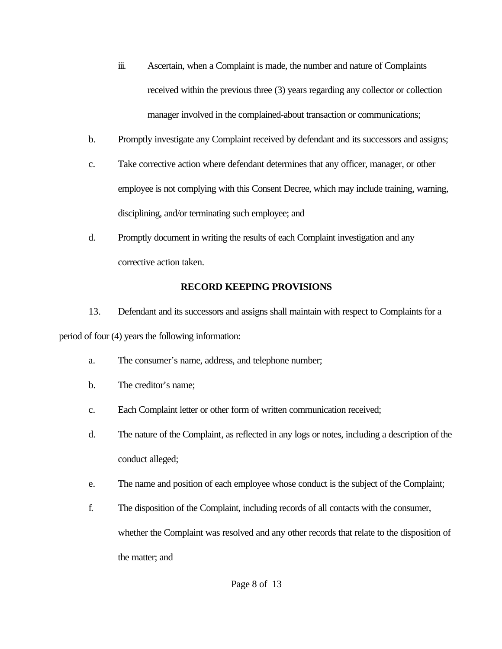- iii. Ascertain, when a Complaint is made, the number and nature of Complaints received within the previous three (3) years regarding any collector or collection manager involved in the complained-about transaction or communications;
- b. Promptly investigate any Complaint received by defendant and its successors and assigns;
- c. Take corrective action where defendant determines that any officer, manager, or other employee is not complying with this Consent Decree, which may include training, warning, disciplining, and/or terminating such employee; and
- d. Promptly document in writing the results of each Complaint investigation and any corrective action taken.

# **RECORD KEEPING PROVISIONS**

13. Defendant and its successors and assigns shall maintain with respect to Complaints for a period of four (4) years the following information:

- a. The consumer's name, address, and telephone number;
- b. The creditor's name;
- c. Each Complaint letter or other form of written communication received;
- d. The nature of the Complaint, as reflected in any logs or notes, including a description of the conduct alleged;
- e. The name and position of each employee whose conduct is the subject of the Complaint;
- f. The disposition of the Complaint, including records of all contacts with the consumer, whether the Complaint was resolved and any other records that relate to the disposition of the matter; and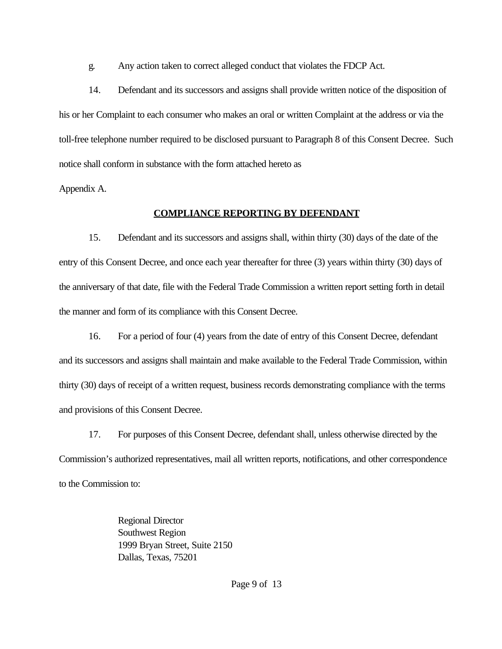g. Any action taken to correct alleged conduct that violates the FDCP Act.

14. Defendant and its successors and assigns shall provide written notice of the disposition of his or her Complaint to each consumer who makes an oral or written Complaint at the address or via the toll-free telephone number required to be disclosed pursuant to Paragraph 8 of this Consent Decree. Such notice shall conform in substance with the form attached hereto as

Appendix A.

# **COMPLIANCE REPORTING BY DEFENDANT**

15. Defendant and its successors and assigns shall, within thirty (30) days of the date of the entry of this Consent Decree, and once each year thereafter for three (3) years within thirty (30) days of the anniversary of that date, file with the Federal Trade Commission a written report setting forth in detail the manner and form of its compliance with this Consent Decree.

16. For a period of four (4) years from the date of entry of this Consent Decree, defendant and its successors and assigns shall maintain and make available to the Federal Trade Commission, within thirty (30) days of receipt of a written request, business records demonstrating compliance with the terms and provisions of this Consent Decree.

17. For purposes of this Consent Decree, defendant shall, unless otherwise directed by the Commission's authorized representatives, mail all written reports, notifications, and other correspondence to the Commission to:

> Regional Director Southwest Region 1999 Bryan Street, Suite 2150 Dallas, Texas, 75201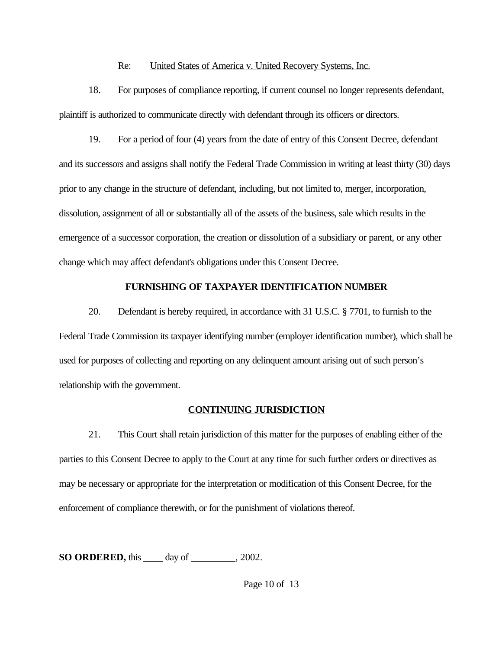### Re: United States of America v. United Recovery Systems, Inc.

18. For purposes of compliance reporting, if current counsel no longer represents defendant, plaintiff is authorized to communicate directly with defendant through its officers or directors.

19. For a period of four (4) years from the date of entry of this Consent Decree, defendant and its successors and assigns shall notify the Federal Trade Commission in writing at least thirty (30) days prior to any change in the structure of defendant, including, but not limited to, merger, incorporation, dissolution, assignment of all or substantially all of the assets of the business, sale which results in the emergence of a successor corporation, the creation or dissolution of a subsidiary or parent, or any other change which may affect defendant's obligations under this Consent Decree.

### **FURNISHING OF TAXPAYER IDENTIFICATION NUMBER**

20. Defendant is hereby required, in accordance with 31 U.S.C. § 7701, to furnish to the Federal Trade Commission its taxpayer identifying number (employer identification number), which shall be used for purposes of collecting and reporting on any delinquent amount arising out of such person's relationship with the government.

# **CONTINUING JURISDICTION**

21. This Court shall retain jurisdiction of this matter for the purposes of enabling either of the parties to this Consent Decree to apply to the Court at any time for such further orders or directives as may be necessary or appropriate for the interpretation or modification of this Consent Decree, for the enforcement of compliance therewith, or for the punishment of violations thereof.

**SO ORDERED,** this \_\_\_\_\_ day of \_\_\_\_\_\_\_\_, 2002.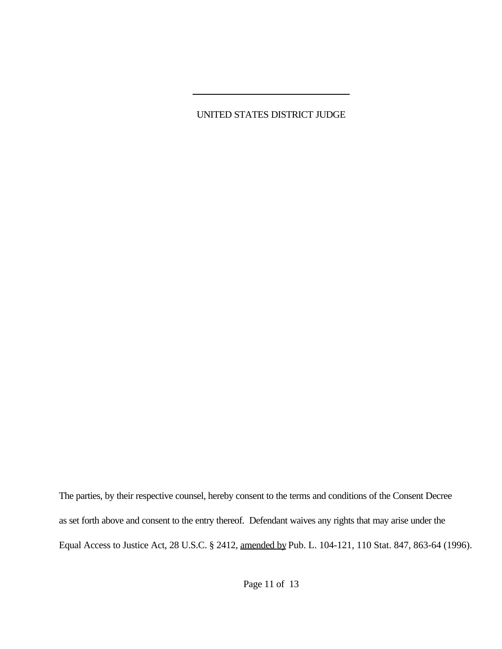UNITED STATES DISTRICT JUDGE

 $\overline{a}$ 

The parties, by their respective counsel, hereby consent to the terms and conditions of the Consent Decree as set forth above and consent to the entry thereof. Defendant waives any rights that may arise under the Equal Access to Justice Act, 28 U.S.C. § 2412, amended by Pub. L. 104-121, 110 Stat. 847, 863-64 (1996).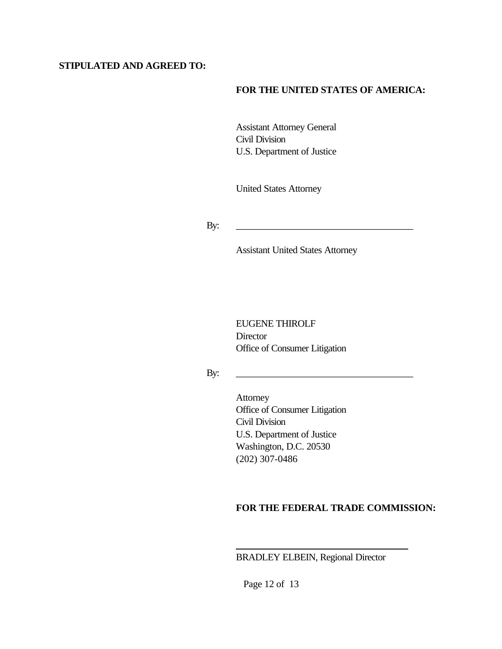### **STIPULATED AND AGREED TO:**

### **FOR THE UNITED STATES OF AMERICA:**

Assistant Attorney General Civil Division U.S. Department of Justice

United States Attorney

By: \_\_\_\_\_\_\_\_\_\_\_\_\_\_\_\_\_\_\_\_\_\_\_\_\_\_\_\_\_\_\_\_\_\_\_\_

Assistant United States Attorney

EUGENE THIROLF **Director** Office of Consumer Litigation

By: \_\_\_\_\_\_\_\_\_\_\_\_\_\_\_\_\_\_\_\_\_\_\_\_\_\_\_\_\_\_\_\_\_\_\_\_

Attorney Office of Consumer Litigation Civil Division U.S. Department of Justice Washington, D.C. 20530 (202) 307-0486

### **FOR THE FEDERAL TRADE COMMISSION:**

BRADLEY ELBEIN, Regional Director

 $\overline{\phantom{a}}$  , where  $\overline{\phantom{a}}$  , where  $\overline{\phantom{a}}$  ,  $\overline{\phantom{a}}$  ,  $\overline{\phantom{a}}$  ,  $\overline{\phantom{a}}$  ,  $\overline{\phantom{a}}$  ,  $\overline{\phantom{a}}$  ,  $\overline{\phantom{a}}$  ,  $\overline{\phantom{a}}$  ,  $\overline{\phantom{a}}$  ,  $\overline{\phantom{a}}$  ,  $\overline{\phantom{a}}$  ,  $\overline{\phantom{a}}$  ,  $\overline{\phantom{a}}$  ,

Page 12 of 13